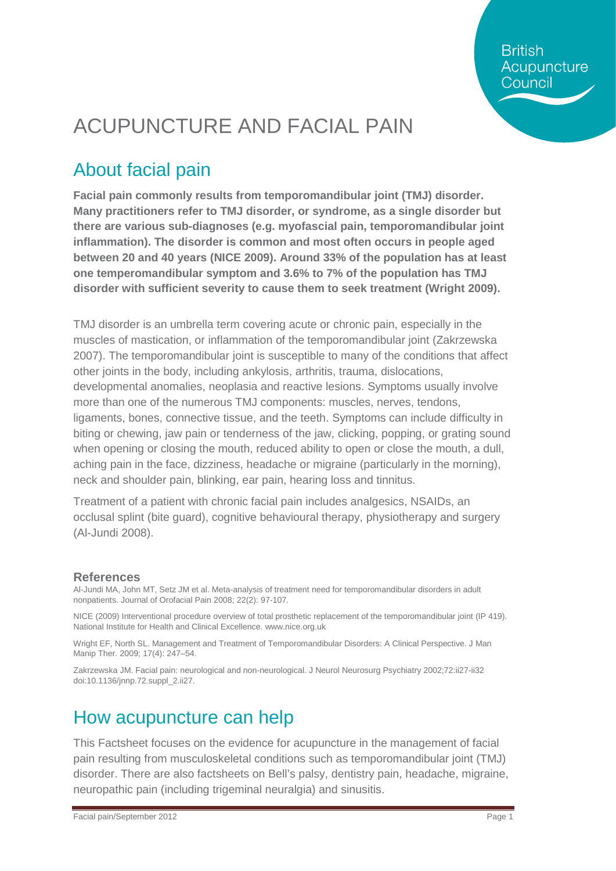**British** Acupuncture Council

## ACUPUNCTURE AND FACIAL PAIN

#### About facial pain

**Facial pain commonly results from temporomandibular joint (TMJ) disorder. Many practitioners refer to TMJ disorder, or syndrome, as a single disorder but there are various sub-diagnoses (e.g. myofascial pain, temporomandibular joint inflammation). The disorder is common and most often occurs in people aged between 20 and 40 years (NICE 2009). Around 33% of the population has at least one temperomandibular symptom and 3.6% to 7% of the population has TMJ disorder with sufficient severity to cause them to seek treatment (Wright 2009).**

TMJ disorder is an umbrella term covering acute or chronic pain, especially in the muscles of mastication, or inflammation of the temporomandibular joint (Zakrzewska 2007). The temporomandibular joint is susceptible to many of the conditions that affect other joints in the body, including ankylosis, arthritis, trauma, dislocations, developmental anomalies, neoplasia and reactive lesions. Symptoms usually involve more than one of the numerous TMJ components: muscles, nerves, tendons, ligaments, bones, connective tissue, and the teeth. Symptoms can include difficulty in biting or chewing, jaw pain or tenderness of the jaw, clicking, popping, or grating sound when opening or closing the mouth, reduced ability to open or close the mouth, a dull, aching pain in the face, dizziness, headache or migraine (particularly in the morning), neck and shoulder pain, blinking, ear pain, hearing loss and tinnitus.

Treatment of a patient with chronic facial pain includes analgesics, NSAIDs, an occlusal splint (bite guard), cognitive behavioural therapy, physiotherapy and surgery (Al-Jundi 2008).

#### **References**

Al-Jundi MA, John MT, Setz JM et al. Meta-analysis of treatment need for temporomandibular disorders in adult nonpatients. Journal of Orofacial Pain 2008; 22(2): 97-107.

NICE (2009) Interventional procedure overview of total prosthetic replacement of the temporomandibular joint (IP 419). National Institute for Health and Clinical Excellence[. www.nice.org.uk](http://www.nice.org.uk/)

Wright EF, North SL. Management and Treatment of Temporomandibular Disorders: A Clinical Perspective. J Man Manip Ther. 2009; 17(4): 247–54.

Zakrzewska JM. Facial pain: neurological and non-neurological. J Neurol Neurosurg Psychiatry 2002;72:ii27-ii32 doi:10.1136/jnnp.72.suppl\_2.ii27.

#### How acupuncture can help

This Factsheet focuses on the evidence for acupuncture in the management of facial pain resulting from musculoskeletal conditions such as temporomandibular joint (TMJ) disorder. There are also factsheets on Bell's palsy, dentistry pain, headache, migraine, neuropathic pain (including trigeminal neuralgia) and sinusitis.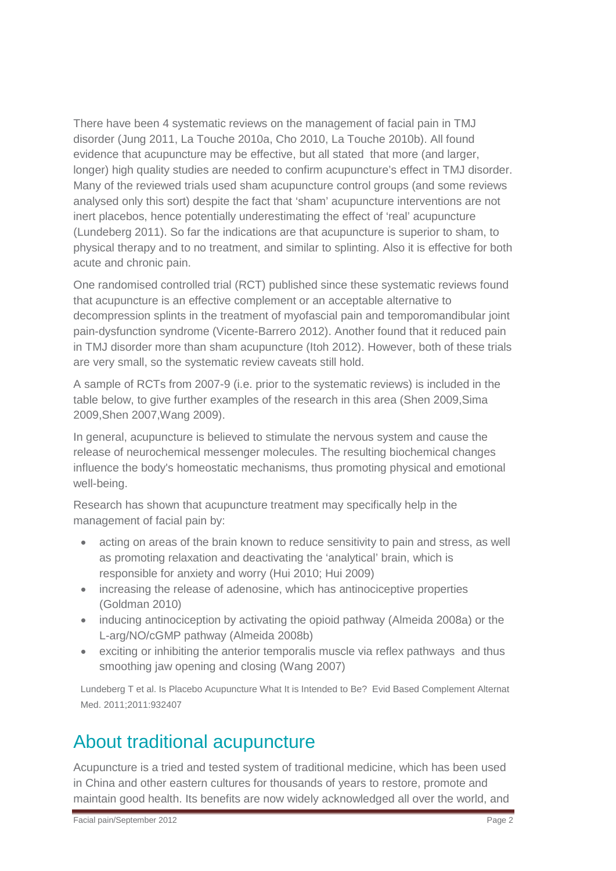There have been 4 systematic reviews on the management of facial pain in TMJ disorder (Jung 2011, La Touche 2010a, Cho 2010, La Touche 2010b). All found evidence that acupuncture may be effective, but all stated that more (and larger, longer) high quality studies are needed to confirm acupuncture's effect in TMJ disorder. Many of the reviewed trials used sham acupuncture control groups (and some reviews analysed only this sort) despite the fact that 'sham' acupuncture interventions are not inert placebos, hence potentially underestimating the effect of 'real' acupuncture (Lundeberg 2011). So far the indications are that acupuncture is superior to sham, to physical therapy and to no treatment, and similar to splinting. Also it is effective for both acute and chronic pain.

One randomised controlled trial (RCT) published since these systematic reviews found that acupuncture is an effective complement or an acceptable alternative to decompression splints in the treatment of myofascial pain and temporomandibular joint pain-dysfunction syndrome (Vicente-Barrero 2012). Another found that it reduced pain in TMJ disorder more than sham acupuncture (Itoh 2012). However, both of these trials are very small, so the systematic review caveats still hold.

A sample of RCTs from 2007-9 (i.e. prior to the systematic reviews) is included in the table below, to give further examples of the research in this area (Shen 2009,Sima 2009,Shen 2007,Wang 2009).

In general, acupuncture is believed to stimulate the nervous system and cause the release of neurochemical messenger molecules. The resulting biochemical changes influence the body's homeostatic mechanisms, thus promoting physical and emotional well-being.

Research has shown that acupuncture treatment may specifically help in the management of facial pain by:

- acting on areas of the brain known to reduce sensitivity to pain and stress, as well as promoting relaxation and deactivating the 'analytical' brain, which is responsible for anxiety and worry (Hui 2010; Hui 2009)
- increasing the release of adenosine, which has antinociceptive properties (Goldman 2010)
- inducing antinociception by activating the opioid pathway (Almeida 2008a) or the L-arg/NO/cGMP pathway (Almeida 2008b)
- exciting or inhibiting the anterior temporalis muscle via reflex pathways and thus smoothing jaw opening and closing (Wang 2007)

[Lundeberg T](http://www.ncbi.nlm.nih.gov/pubmed?term=%22Lundeberg%20T%22%5BAuthor%5D) et al. Is Placebo Acupuncture What It is Intended to Be? [Evid Based Complement Alternat](javascript:AL_get(this,%20)  [Med.](javascript:AL_get(this,%20) 2011;2011:932407

#### About traditional acupuncture

Acupuncture is a tried and tested system of traditional medicine, which has been used in China and other eastern cultures for thousands of years to restore, promote and maintain good health. Its benefits are now widely acknowledged all over the world, and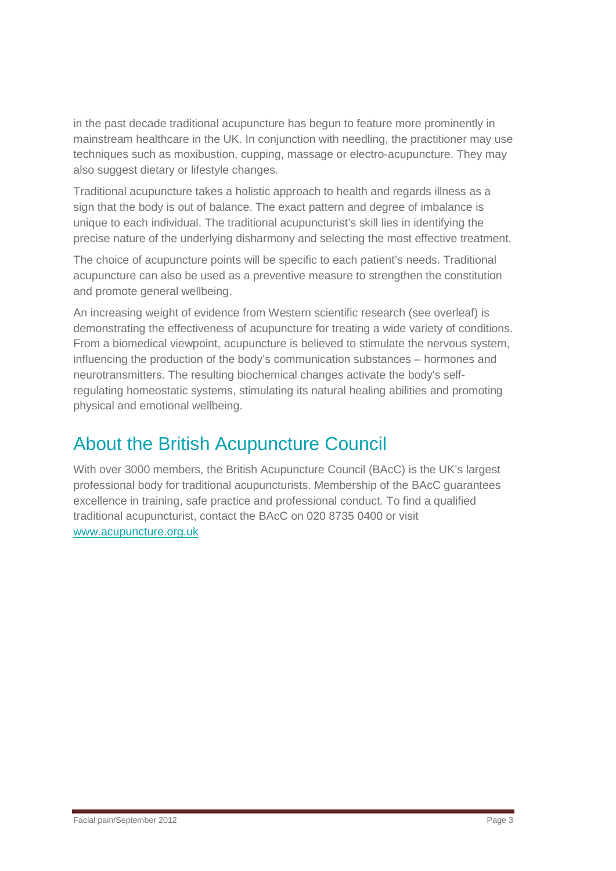in the past decade traditional acupuncture has begun to feature more prominently in mainstream healthcare in the UK. In conjunction with needling, the practitioner may use techniques such as moxibustion, cupping, massage or electro-acupuncture. They may also suggest dietary or lifestyle changes.

Traditional acupuncture takes a holistic approach to health and regards illness as a sign that the body is out of balance. The exact pattern and degree of imbalance is unique to each individual. The traditional acupuncturist's skill lies in identifying the precise nature of the underlying disharmony and selecting the most effective treatment.

The choice of acupuncture points will be specific to each patient's needs. Traditional acupuncture can also be used as a preventive measure to strengthen the constitution and promote general wellbeing.

An increasing weight of evidence from Western scientific research (see overleaf) is demonstrating the effectiveness of acupuncture for treating a wide variety of conditions. From a biomedical viewpoint, acupuncture is believed to stimulate the nervous system, influencing the production of the body's communication substances – hormones and neurotransmitters. The resulting biochemical changes activate the body's selfregulating homeostatic systems, stimulating its natural healing abilities and promoting physical and emotional wellbeing.

#### About the British Acupuncture Council

With over 3000 members, the British Acupuncture Council (BAcC) is the UK's largest professional body for traditional acupuncturists. Membership of the BAcC guarantees excellence in training, safe practice and professional conduct. To find a qualified traditional acupuncturist, contact the BAcC on 020 8735 0400 or visit [www.acupuncture.org.uk](http://www.acupuncture.org.uk/)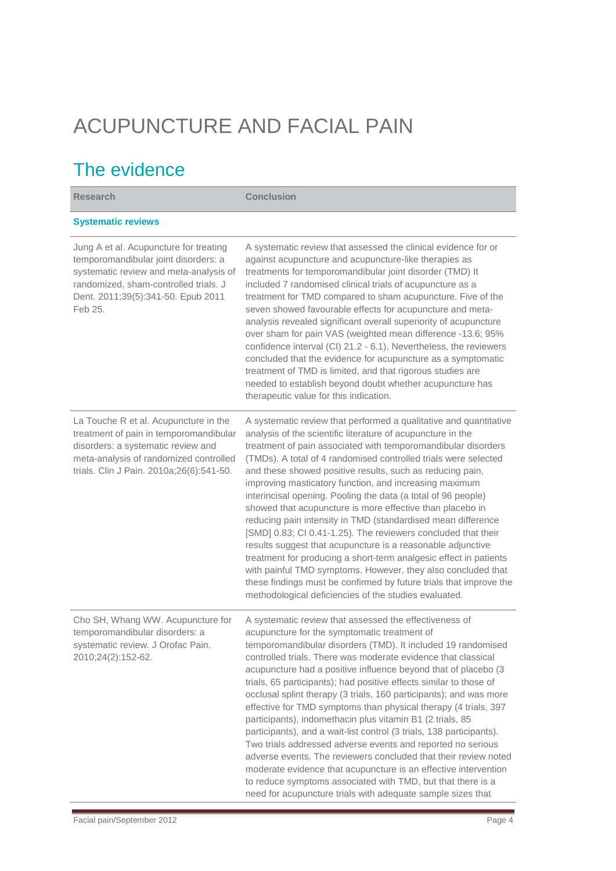# ACUPUNCTURE AND FACIAL PAIN

### The evidence

| <b>Research</b>                                                                                                                                                                                                    | <b>Conclusion</b>                                                                                                                                                                                                                                                                                                                                                                                                                                                                                                                                                                                                                                                                                                                                                                                                                                                                                                                                                                                |
|--------------------------------------------------------------------------------------------------------------------------------------------------------------------------------------------------------------------|--------------------------------------------------------------------------------------------------------------------------------------------------------------------------------------------------------------------------------------------------------------------------------------------------------------------------------------------------------------------------------------------------------------------------------------------------------------------------------------------------------------------------------------------------------------------------------------------------------------------------------------------------------------------------------------------------------------------------------------------------------------------------------------------------------------------------------------------------------------------------------------------------------------------------------------------------------------------------------------------------|
| <b>Systematic reviews</b>                                                                                                                                                                                          |                                                                                                                                                                                                                                                                                                                                                                                                                                                                                                                                                                                                                                                                                                                                                                                                                                                                                                                                                                                                  |
| Jung A et al. Acupuncture for treating<br>temporomandibular joint disorders: a<br>systematic review and meta-analysis of<br>randomized, sham-controlled trials. J<br>Dent. 2011;39(5):341-50. Epub 2011<br>Feb 25. | A systematic review that assessed the clinical evidence for or<br>against acupuncture and acupuncture-like therapies as<br>treatments for temporomandibular joint disorder (TMD) It<br>included 7 randomised clinical trials of acupuncture as a<br>treatment for TMD compared to sham acupuncture. Five of the<br>seven showed favourable effects for acupuncture and meta-<br>analysis revealed significant overall superiority of acupuncture<br>over sham for pain VAS (weighted mean difference -13.6; 95%<br>confidence interval (CI) 21.2 - 6.1). Nevertheless, the reviewers<br>concluded that the evidence for acupuncture as a symptomatic<br>treatment of TMD is limited, and that rigorous studies are<br>needed to establish beyond doubt whether acupuncture has<br>therapeutic value for this indication.                                                                                                                                                                         |
| La Touche R et al. Acupuncture in the<br>treatment of pain in temporomandibular<br>disorders: a systematic review and<br>meta-analysis of randomized controlled<br>trials. Clin J Pain. 2010a;26(6):541-50.        | A systematic review that performed a qualitative and quantitative<br>analysis of the scientific literature of acupuncture in the<br>treatment of pain associated with temporomandibular disorders<br>(TMDs). A total of 4 randomised controlled trials were selected<br>and these showed positive results, such as reducing pain,<br>improving masticatory function, and increasing maximum<br>interincisal opening. Pooling the data (a total of 96 people)<br>showed that acupuncture is more effective than placebo in<br>reducing pain intensity in TMD (standardised mean difference<br>[SMD] 0.83; CI 0.41-1.25). The reviewers concluded that their<br>results suggest that acupuncture is a reasonable adjunctive<br>treatment for producing a short-term analgesic effect in patients<br>with painful TMD symptoms. However, they also concluded that<br>these findings must be confirmed by future trials that improve the<br>methodological deficiencies of the studies evaluated.    |
| Cho SH, Whang WW. Acupuncture for<br>temporomandibular disorders: a<br>systematic review. J Orofac Pain.<br>2010;24(2):152-62.                                                                                     | A systematic review that assessed the effectiveness of<br>acupuncture for the symptomatic treatment of<br>temporomandibular disorders (TMD). It included 19 randomised<br>controlled trials. There was moderate evidence that classical<br>acupuncture had a positive influence beyond that of placebo (3<br>trials, 65 participants); had positive effects similar to those of<br>occlusal splint therapy (3 trials, 160 participants); and was more<br>effective for TMD symptoms than physical therapy (4 trials, 397<br>participants), indomethacin plus vitamin B1 (2 trials, 85<br>participants), and a wait-list control (3 trials, 138 participants).<br>Two trials addressed adverse events and reported no serious<br>adverse events. The reviewers concluded that their review noted<br>moderate evidence that acupuncture is an effective intervention<br>to reduce symptoms associated with TMD, but that there is a<br>need for acupuncture trials with adequate sample sizes that |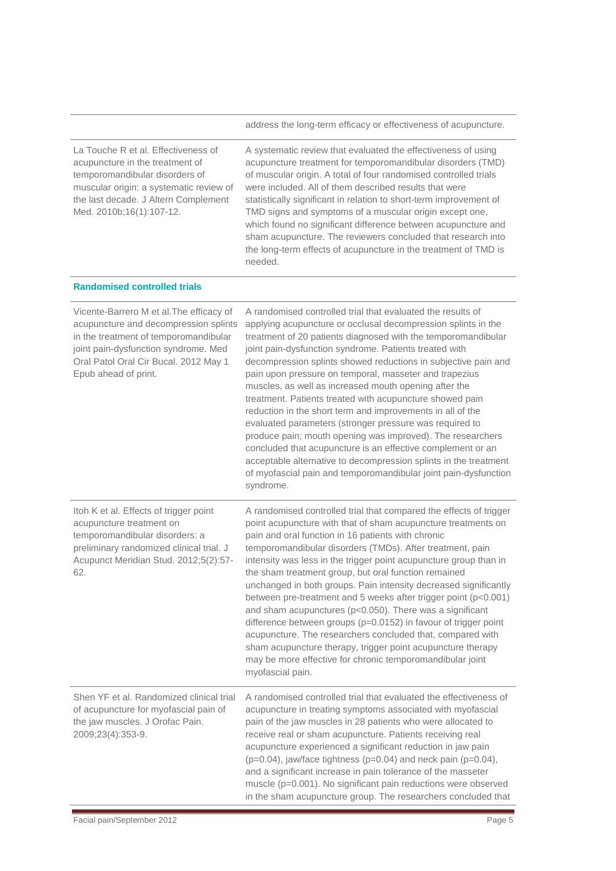address the long-term efficacy or effectiveness of acupuncture.

| La Touche R et al. Effectiveness of<br>acupuncture in the treatment of<br>temporomandibular disorders of<br>muscular origin: a systematic review of<br>the last decade. J Altern Complement<br>Med. 2010b;16(1):107-12.             | A systematic review that evaluated the effectiveness of using<br>acupuncture treatment for temporomandibular disorders (TMD)<br>of muscular origin. A total of four randomised controlled trials<br>were included. All of them described results that were<br>statistically significant in relation to short-term improvement of<br>TMD signs and symptoms of a muscular origin except one,<br>which found no significant difference between acupuncture and<br>sham acupuncture. The reviewers concluded that research into<br>the long-term effects of acupuncture in the treatment of TMD is<br>needed.                                                                                                                                                                                                                                                                                                         |
|-------------------------------------------------------------------------------------------------------------------------------------------------------------------------------------------------------------------------------------|--------------------------------------------------------------------------------------------------------------------------------------------------------------------------------------------------------------------------------------------------------------------------------------------------------------------------------------------------------------------------------------------------------------------------------------------------------------------------------------------------------------------------------------------------------------------------------------------------------------------------------------------------------------------------------------------------------------------------------------------------------------------------------------------------------------------------------------------------------------------------------------------------------------------|
| <b>Randomised controlled trials</b>                                                                                                                                                                                                 |                                                                                                                                                                                                                                                                                                                                                                                                                                                                                                                                                                                                                                                                                                                                                                                                                                                                                                                    |
| Vicente-Barrero M et al. The efficacy of<br>acupuncture and decompression splints<br>in the treatment of temporomandibular<br>joint pain-dysfunction syndrome. Med<br>Oral Patol Oral Cir Bucal. 2012 May 1<br>Epub ahead of print. | A randomised controlled trial that evaluated the results of<br>applying acupuncture or occlusal decompression splints in the<br>treatment of 20 patients diagnosed with the temporomandibular<br>joint pain-dysfunction syndrome. Patients treated with<br>decompression splints showed reductions in subjective pain and<br>pain upon pressure on temporal, masseter and trapezius<br>muscles, as well as increased mouth opening after the<br>treatment. Patients treated with acupuncture showed pain<br>reduction in the short term and improvements in all of the<br>evaluated parameters (stronger pressure was required to<br>produce pain; mouth opening was improved). The researchers<br>concluded that acupuncture is an effective complement or an<br>acceptable alternative to decompression splints in the treatment<br>of myofascial pain and temporomandibular joint pain-dysfunction<br>syndrome. |
| Itoh K et al. Effects of trigger point<br>acupuncture treatment on<br>temporomandibular disorders: a<br>preliminary randomized clinical trial. J<br>Acupunct Meridian Stud. 2012;5(2):57-<br>62.                                    | A randomised controlled trial that compared the effects of trigger<br>point acupuncture with that of sham acupuncture treatments on<br>pain and oral function in 16 patients with chronic<br>temporomandibular disorders (TMDs). After treatment, pain<br>intensity was less in the trigger point acupuncture group than in<br>the sham treatment group, but oral function remained<br>unchanged in both groups. Pain intensity decreased significantly<br>between pre-treatment and 5 weeks after trigger point (p<0.001)<br>and sham acupunctures (p<0.050). There was a significant<br>difference between groups (p=0.0152) in favour of trigger point<br>acupuncture. The researchers concluded that, compared with<br>sham acupuncture therapy, trigger point acupuncture therapy<br>may be more effective for chronic temporomandibular joint<br>myofascial pain.                                            |
| Shen YF et al. Randomized clinical trial<br>of acupuncture for myofascial pain of<br>the jaw muscles. J Orofac Pain.<br>2009;23(4):353-9.                                                                                           | A randomised controlled trial that evaluated the effectiveness of<br>acupuncture in treating symptoms associated with myofascial<br>pain of the jaw muscles in 28 patients who were allocated to<br>receive real or sham acupuncture. Patients receiving real<br>acupuncture experienced a significant reduction in jaw pain<br>$(p=0.04)$ , jaw/face tightness ( $p=0.04$ ) and neck pain ( $p=0.04$ ),<br>and a significant increase in pain tolerance of the masseter<br>muscle (p=0.001). No significant pain reductions were observed<br>in the sham acupuncture group. The researchers concluded that                                                                                                                                                                                                                                                                                                        |

t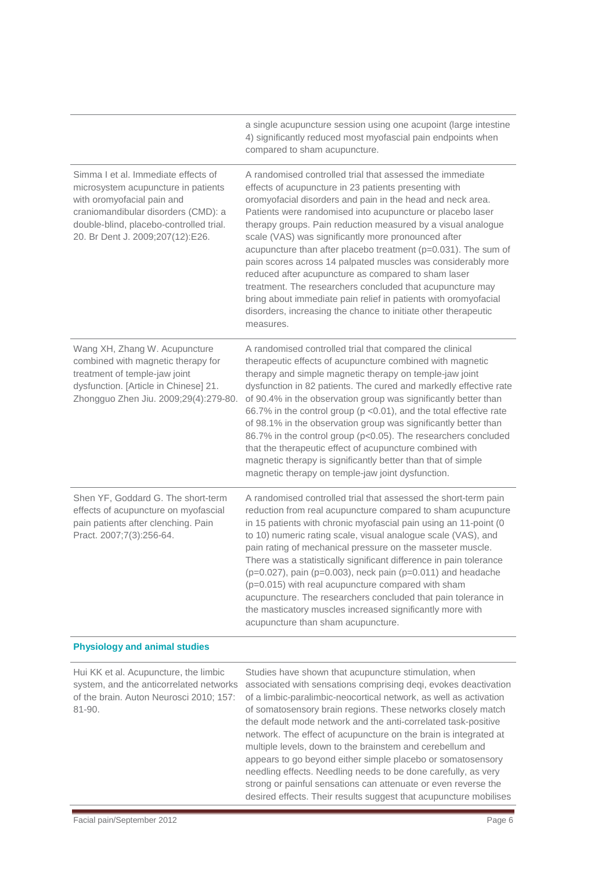|                                                                                                                                                                                                                                | a single acupuncture session using one acupoint (large intestine<br>4) significantly reduced most myofascial pain endpoints when<br>compared to sham acupuncture.                                                                                                                                                                                                                                                                                                                                                                                                                                                                                                                                                                                                             |
|--------------------------------------------------------------------------------------------------------------------------------------------------------------------------------------------------------------------------------|-------------------------------------------------------------------------------------------------------------------------------------------------------------------------------------------------------------------------------------------------------------------------------------------------------------------------------------------------------------------------------------------------------------------------------------------------------------------------------------------------------------------------------------------------------------------------------------------------------------------------------------------------------------------------------------------------------------------------------------------------------------------------------|
| Simma I et al. Immediate effects of<br>microsystem acupuncture in patients<br>with oromyofacial pain and<br>craniomandibular disorders (CMD): a<br>double-blind, placebo-controlled trial.<br>20. Br Dent J. 2009;207(12):E26. | A randomised controlled trial that assessed the immediate<br>effects of acupuncture in 23 patients presenting with<br>oromyofacial disorders and pain in the head and neck area.<br>Patients were randomised into acupuncture or placebo laser<br>therapy groups. Pain reduction measured by a visual analogue<br>scale (VAS) was significantly more pronounced after<br>acupuncture than after placebo treatment (p=0.031). The sum of<br>pain scores across 14 palpated muscles was considerably more<br>reduced after acupuncture as compared to sham laser<br>treatment. The researchers concluded that acupuncture may<br>bring about immediate pain relief in patients with oromyofacial<br>disorders, increasing the chance to initiate other therapeutic<br>measures. |
| Wang XH, Zhang W. Acupuncture<br>combined with magnetic therapy for<br>treatment of temple-jaw joint<br>dysfunction. [Article in Chinese] 21.<br>Zhongguo Zhen Jiu. 2009;29(4):279-80.                                         | A randomised controlled trial that compared the clinical<br>therapeutic effects of acupuncture combined with magnetic<br>therapy and simple magnetic therapy on temple-jaw joint<br>dysfunction in 82 patients. The cured and markedly effective rate<br>of 90.4% in the observation group was significantly better than<br>66.7% in the control group (p <0.01), and the total effective rate<br>of 98.1% in the observation group was significantly better than<br>86.7% in the control group (p<0.05). The researchers concluded<br>that the therapeutic effect of acupuncture combined with<br>magnetic therapy is significantly better than that of simple<br>magnetic therapy on temple-jaw joint dysfunction.                                                          |
| Shen YF, Goddard G. The short-term<br>effects of acupuncture on myofascial<br>pain patients after clenching. Pain<br>Pract. 2007;7(3):256-64.                                                                                  | A randomised controlled trial that assessed the short-term pain<br>reduction from real acupuncture compared to sham acupuncture<br>in 15 patients with chronic myofascial pain using an 11-point (0<br>to 10) numeric rating scale, visual analogue scale (VAS), and<br>pain rating of mechanical pressure on the masseter muscle.<br>There was a statistically significant difference in pain tolerance<br>(p=0.027), pain (p=0.003), neck pain (p=0.011) and headache<br>$(p=0.015)$ with real acupuncture compared with sham<br>acupuncture. The researchers concluded that pain tolerance in<br>the masticatory muscles increased significantly more with<br>acupuncture than sham acupuncture.                                                                           |
| <b>Physiology and animal studies</b>                                                                                                                                                                                           |                                                                                                                                                                                                                                                                                                                                                                                                                                                                                                                                                                                                                                                                                                                                                                               |
| Hui KK et al. Acupuncture, the limbic<br>system, and the anticorrelated networks<br>of the brain. Auton Neurosci 2010; 157:<br>81-90.                                                                                          | Studies have shown that acupuncture stimulation, when<br>associated with sensations comprising deqi, evokes deactivation<br>of a limbic-paralimbic-neocortical network, as well as activation<br>of somatosensory brain regions. These networks closely match<br>the default mode network and the anti-correlated task-positive<br>network. The effect of acupuncture on the brain is integrated at<br>multiple levels, down to the brainstem and cerebellum and<br>appears to go beyond either simple placebo or somatosensory<br>needling effects. Needling needs to be done carefully, as very                                                                                                                                                                             |

strong or painful sensations can attenuate or even reverse the desired effects. Their results suggest that acupuncture mobilises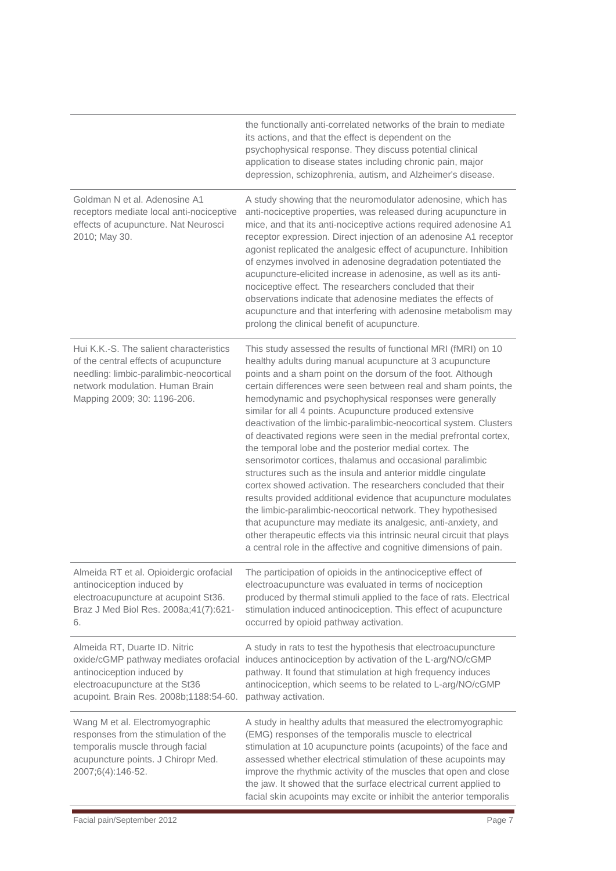|                                                                                                                                                                                               | the functionally anti-correlated networks of the brain to mediate<br>its actions, and that the effect is dependent on the<br>psychophysical response. They discuss potential clinical<br>application to disease states including chronic pain, major<br>depression, schizophrenia, autism, and Alzheimer's disease.                                                                                                                                                                                                                                                                                                                                                                                                                                                                                                                                                                                                                                                                                                                                                                                                                        |
|-----------------------------------------------------------------------------------------------------------------------------------------------------------------------------------------------|--------------------------------------------------------------------------------------------------------------------------------------------------------------------------------------------------------------------------------------------------------------------------------------------------------------------------------------------------------------------------------------------------------------------------------------------------------------------------------------------------------------------------------------------------------------------------------------------------------------------------------------------------------------------------------------------------------------------------------------------------------------------------------------------------------------------------------------------------------------------------------------------------------------------------------------------------------------------------------------------------------------------------------------------------------------------------------------------------------------------------------------------|
| Goldman N et al. Adenosine A1<br>receptors mediate local anti-nociceptive<br>effects of acupuncture. Nat Neurosci<br>2010; May 30.                                                            | A study showing that the neuromodulator adenosine, which has<br>anti-nociceptive properties, was released during acupuncture in<br>mice, and that its anti-nociceptive actions required adenosine A1<br>receptor expression. Direct injection of an adenosine A1 receptor<br>agonist replicated the analgesic effect of acupuncture. Inhibition<br>of enzymes involved in adenosine degradation potentiated the<br>acupuncture-elicited increase in adenosine, as well as its anti-<br>nociceptive effect. The researchers concluded that their<br>observations indicate that adenosine mediates the effects of<br>acupuncture and that interfering with adenosine metabolism may<br>prolong the clinical benefit of acupuncture.                                                                                                                                                                                                                                                                                                                                                                                                          |
| Hui K.K.-S. The salient characteristics<br>of the central effects of acupuncture<br>needling: limbic-paralimbic-neocortical<br>network modulation. Human Brain<br>Mapping 2009; 30: 1196-206. | This study assessed the results of functional MRI (fMRI) on 10<br>healthy adults during manual acupuncture at 3 acupuncture<br>points and a sham point on the dorsum of the foot. Although<br>certain differences were seen between real and sham points, the<br>hemodynamic and psychophysical responses were generally<br>similar for all 4 points. Acupuncture produced extensive<br>deactivation of the limbic-paralimbic-neocortical system. Clusters<br>of deactivated regions were seen in the medial prefrontal cortex,<br>the temporal lobe and the posterior medial cortex. The<br>sensorimotor cortices, thalamus and occasional paralimbic<br>structures such as the insula and anterior middle cingulate<br>cortex showed activation. The researchers concluded that their<br>results provided additional evidence that acupuncture modulates<br>the limbic-paralimbic-neocortical network. They hypothesised<br>that acupuncture may mediate its analgesic, anti-anxiety, and<br>other therapeutic effects via this intrinsic neural circuit that plays<br>a central role in the affective and cognitive dimensions of pain. |
| Almeida RT et al. Opioidergic orofacial<br>antinociception induced by<br>electroacupuncture at acupoint St36.<br>Braz J Med Biol Res. 2008a;41(7):621-<br>6.                                  | The participation of opioids in the antinociceptive effect of<br>electroacupuncture was evaluated in terms of nociception<br>produced by thermal stimuli applied to the face of rats. Electrical<br>stimulation induced antinociception. This effect of acupuncture<br>occurred by opioid pathway activation.                                                                                                                                                                                                                                                                                                                                                                                                                                                                                                                                                                                                                                                                                                                                                                                                                              |
| Almeida RT, Duarte ID. Nitric<br>antinociception induced by<br>electroacupuncture at the St36<br>acupoint. Brain Res. 2008b;1188:54-60.                                                       | A study in rats to test the hypothesis that electroacupuncture<br>oxide/cGMP pathway mediates orofacial induces antinociception by activation of the L-arg/NO/cGMP<br>pathway. It found that stimulation at high frequency induces<br>antinociception, which seems to be related to L-arg/NO/cGMP<br>pathway activation.                                                                                                                                                                                                                                                                                                                                                                                                                                                                                                                                                                                                                                                                                                                                                                                                                   |
| Wang M et al. Electromyographic<br>responses from the stimulation of the<br>temporalis muscle through facial<br>acupuncture points. J Chiropr Med.<br>2007;6(4):146-52.                       | A study in healthy adults that measured the electromyographic<br>(EMG) responses of the temporalis muscle to electrical<br>stimulation at 10 acupuncture points (acupoints) of the face and<br>assessed whether electrical stimulation of these acupoints may<br>improve the rhythmic activity of the muscles that open and close<br>the jaw. It showed that the surface electrical current applied to<br>facial skin acupoints may excite or inhibit the anterior temporalis                                                                                                                                                                                                                                                                                                                                                                                                                                                                                                                                                                                                                                                              |